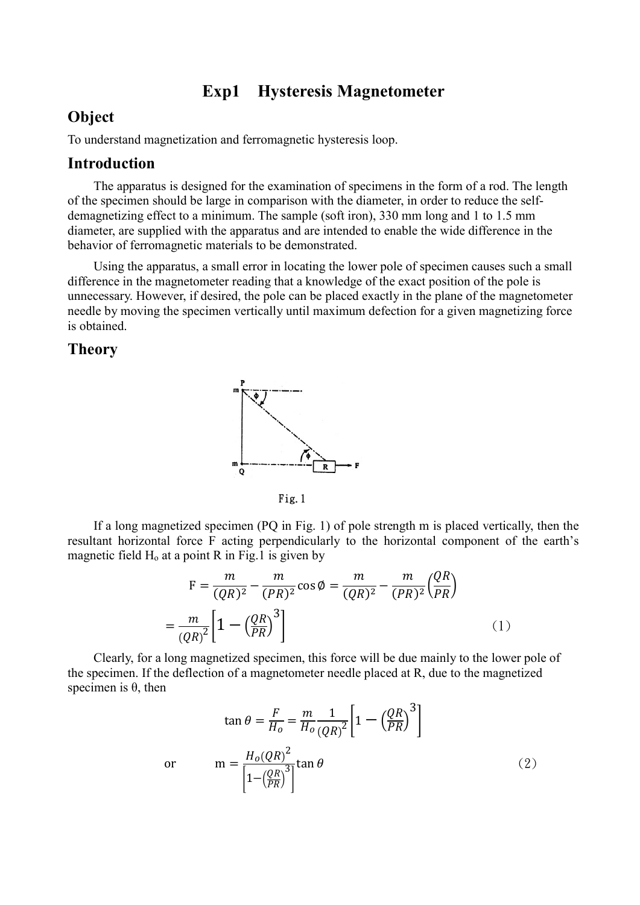## Exp1 Hysteresis Magnetometer

## Object

To understand magnetization and ferromagnetic hysteresis loop.

### Introduction

The apparatus is designed for the examination of specimens in the form of a rod. The length of the specimen should be large in comparison with the diameter, in order to reduce the selfdemagnetizing effect to a minimum. The sample (soft iron), 330 mm long and 1 to 1.5 mm diameter, are supplied with the apparatus and are intended to enable the wide difference in the behavior of ferromagnetic materials to be demonstrated.

Using the apparatus, a small error in locating the lower pole of specimen causes such a small difference in the magnetometer reading that a knowledge of the exact position of the pole is unnecessary. However, if desired, the pole can be placed exactly in the plane of the magnetometer needle by moving the specimen vertically until maximum defection for a given magnetizing force is obtained.

#### Theory



Fig.1

If a long magnetized specimen (PQ in Fig. 1) of pole strength m is placed vertically, then the resultant horizontal force F acting perpendicularly to the horizontal component of the earth's magnetic field  $H_0$  at a point R in Fig.1 is given by

$$
F = \frac{m}{(QR)^2} - \frac{m}{(PR)^2} \cos \phi = \frac{m}{(QR)^2} - \frac{m}{(PR)^2} \left(\frac{QR}{PR}\right)
$$

$$
= \frac{m}{(QR)^2} \left[1 - \left(\frac{QR}{PR}\right)^3\right] \tag{1}
$$

Clearly, for a long magnetized specimen, this force will be due mainly to the lower pole of the specimen. If the deflection of a magnetometer needle placed at R, due to the magnetized specimen is  $θ$ , then

$$
\tan \theta = \frac{F}{H_o} = \frac{m}{H_o} \frac{1}{(QR)^2} \left[ 1 - \left(\frac{QR}{PR}\right)^3 \right]
$$
  
or 
$$
m = \frac{H_o(QR)^2}{\left[ 1 - \left(\frac{QR}{PR}\right)^3 \right]} \tan \theta
$$
 (2)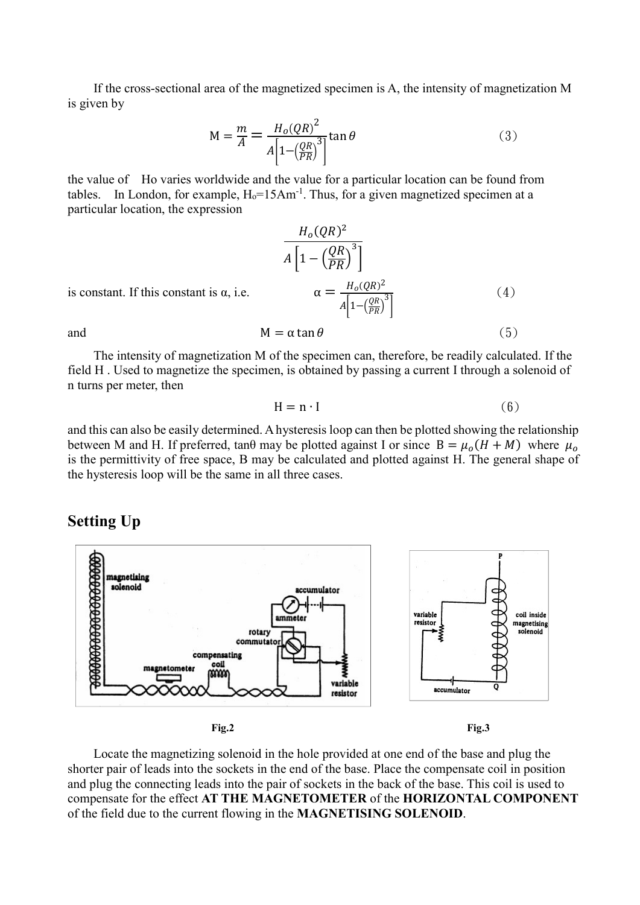If the cross-sectional area of the magnetized specimen is A, the intensity of magnetization M is given by

$$
M = \frac{m}{A} = \frac{H_o(QR)^2}{A\left[1 - \left(\frac{QR}{PR}\right)^3\right]} \tan \theta \tag{3}
$$

the value of Ho varies worldwide and the value for a particular location can be found from tables. In London, for example,  $H_0 = 15Am^{-1}$ . Thus, for a given magnetized specimen at a particular location, the expression

$$
\frac{H_o(QR)^2}{A\left[1 - \left(\frac{QR}{PR}\right)^3\right]}
$$
  
is constant. If this constant is  $\alpha$ , i.e. 
$$
\alpha = \frac{H_o(QR)^2}{A\left[1 - \left(\frac{QR}{PR}\right)^3\right]}
$$

$$
M = \alpha \tan \theta
$$
 (5)

is constant. If this constant is

The intensity of magnetization M of the specimen can, therefore, be readily calculated. If the field H . Used to magnetize the specimen, is obtained by passing a current I through a solenoid of n turns per meter, then

$$
H = n \cdot I \tag{6}
$$

and this can also be easily determined. A hysteresis loop can then be plotted showing the relationship between M and H. If preferred, tan $\theta$  may be plotted against I or since  $B = \mu_0 (H + M)$  where  $\mu_0$ is the permittivity of free space, B may be calculated and plotted against H. The general shape of the hysteresis loop will be the same in all three cases.

#### Setting Up



Locate the magnetizing solenoid in the hole provided at one end of the base and plug the shorter pair of leads into the sockets in the end of the base. Place the compensate coil in position and plug the connecting leads into the pair of sockets in the back of the base. This coil is used to compensate for the effect AT THE MAGNETOMETER of the HORIZONTAL COMPONENT of the field due to the current flowing in the **MAGNETISING SOLENOID**.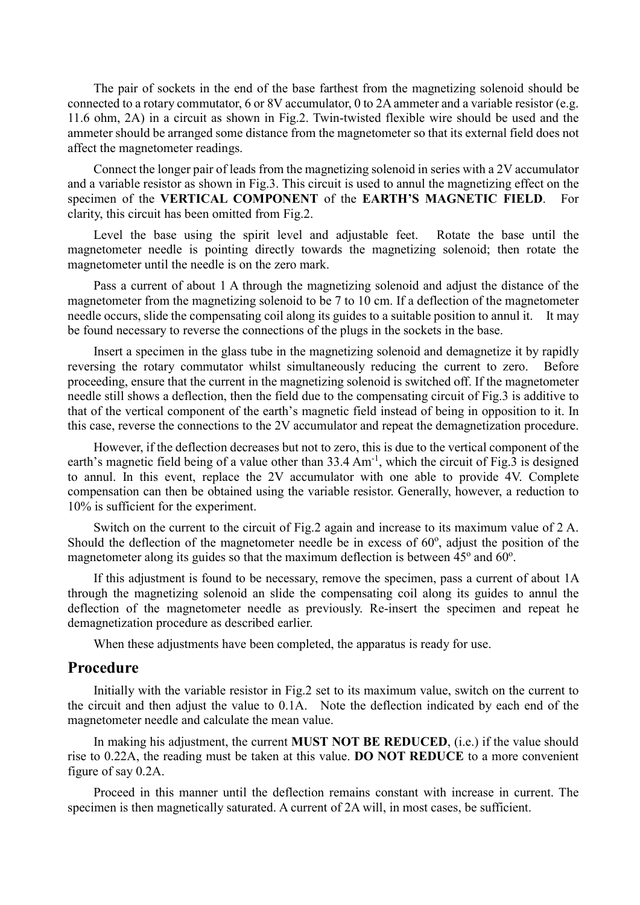The pair of sockets in the end of the base farthest from the magnetizing solenoid should be connected to a rotary commutator, 6 or 8V accumulator, 0 to 2A ammeter and a variable resistor (e.g. 11.6 ohm, 2A) in a circuit as shown in Fig.2. Twin-twisted flexible wire should be used and the ammeter should be arranged some distance from the magnetometer so that its external field does not affect the magnetometer readings.

Connect the longer pair of leads from the magnetizing solenoid in series with a 2V accumulator and a variable resistor as shown in Fig.3. This circuit is used to annul the magnetizing effect on the specimen of the VERTICAL COMPONENT of the EARTH'S MAGNETIC FIELD. For clarity, this circuit has been omitted from Fig.2.

Level the base using the spirit level and adjustable feet. Rotate the base until the magnetometer needle is pointing directly towards the magnetizing solenoid; then rotate the magnetometer until the needle is on the zero mark.

Pass a current of about 1 A through the magnetizing solenoid and adjust the distance of the magnetometer from the magnetizing solenoid to be 7 to 10 cm. If a deflection of the magnetometer needle occurs, slide the compensating coil along its guides to a suitable position to annul it. It may be found necessary to reverse the connections of the plugs in the sockets in the base.

Insert a specimen in the glass tube in the magnetizing solenoid and demagnetize it by rapidly reversing the rotary commutator whilst simultaneously reducing the current to zero. Before proceeding, ensure that the current in the magnetizing solenoid is switched off. If the magnetometer needle still shows a deflection, then the field due to the compensating circuit of Fig.3 is additive to that of the vertical component of the earth's magnetic field instead of being in opposition to it. In this case, reverse the connections to the 2V accumulator and repeat the demagnetization procedure.

However, if the deflection decreases but not to zero, this is due to the vertical component of the earth's magnetic field being of a value other than 33.4 Am<sup>-1</sup>, which the circuit of Fig.3 is designed to annul. In this event, replace the 2V accumulator with one able to provide 4V. Complete compensation can then be obtained using the variable resistor. Generally, however, a reduction to 10% is sufficient for the experiment.

Switch on the current to the circuit of Fig.2 again and increase to its maximum value of 2 A. Should the deflection of the magnetometer needle be in excess of  $60^\circ$ , adjust the position of the magnetometer along its guides so that the maximum deflection is between  $45^{\circ}$  and  $60^{\circ}$ .

If this adjustment is found to be necessary, remove the specimen, pass a current of about 1A through the magnetizing solenoid an slide the compensating coil along its guides to annul the deflection of the magnetometer needle as previously. Re-insert the specimen and repeat he demagnetization procedure as described earlier.

When these adjustments have been completed, the apparatus is ready for use.

#### Procedure

Initially with the variable resistor in Fig.2 set to its maximum value, switch on the current to the circuit and then adjust the value to 0.1A. Note the deflection indicated by each end of the magnetometer needle and calculate the mean value.

In making his adjustment, the current **MUST NOT BE REDUCED**, (i.e.) if the value should rise to 0.22A, the reading must be taken at this value. DO NOT REDUCE to a more convenient figure of say 0.2A.

Proceed in this manner until the deflection remains constant with increase in current. The specimen is then magnetically saturated. A current of 2A will, in most cases, be sufficient.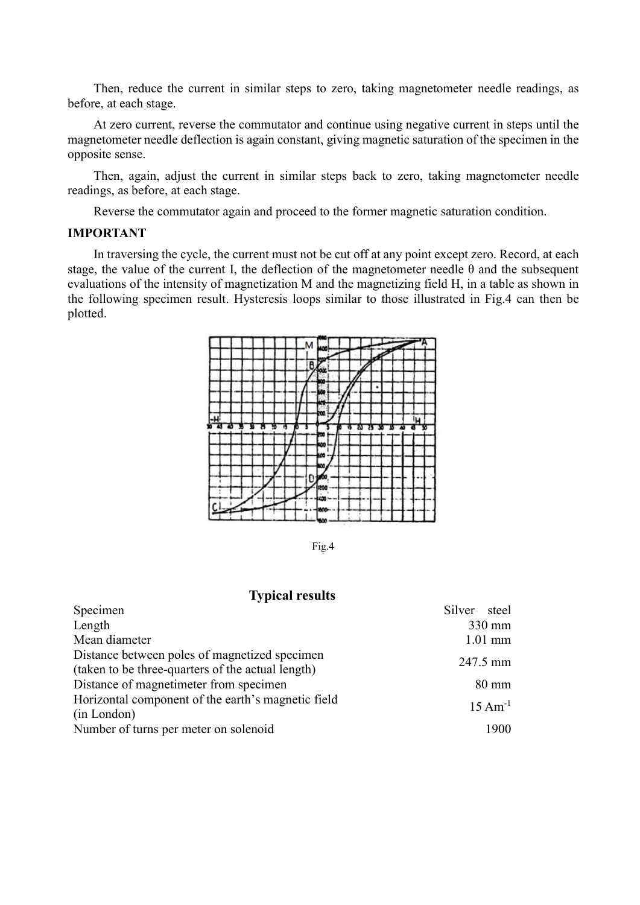Then, reduce the current in similar steps to zero, taking magnetometer needle readings, as before, at each stage.

At zero current, reverse the commutator and continue using negative current in steps until the magnetometer needle deflection is again constant, giving magnetic saturation of the specimen in the opposite sense.

Then, again, adjust the current in similar steps back to zero, taking magnetometer needle readings, as before, at each stage.

Reverse the commutator again and proceed to the former magnetic saturation condition.

#### IMPORTANT

In traversing the cycle, the current must not be cut off at any point except zero. Record, at each stage, the value of the current I, the deflection of the magnetometer needle  $\theta$  and the subsequent evaluations of the intensity of magnetization M and the magnetizing field H, in a table as shown in the following specimen result. Hysteresis loops similar to those illustrated in Fig.4 can then be plotted.



Fig.4

#### Typical results

| Specimen                                                                                           | Silver steel |                      |
|----------------------------------------------------------------------------------------------------|--------------|----------------------|
| Length                                                                                             |              | $330 \text{ mm}$     |
| Mean diameter                                                                                      |              | $1.01$ mm            |
| Distance between poles of magnetized specimen<br>(taken to be three-quarters of the actual length) |              | 247.5 mm             |
| Distance of magnetimeter from specimen                                                             |              | $80 \text{ mm}$      |
| Horizontal component of the earth's magnetic field<br>(in London)                                  |              | $15 \text{ Am}^{-1}$ |
| Number of turns per meter on solenoid                                                              |              | 1900                 |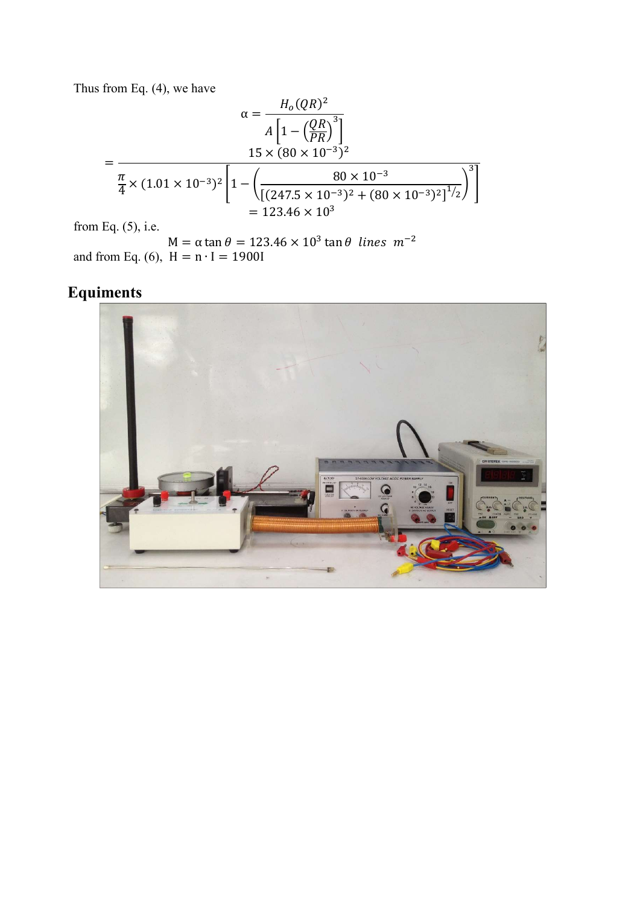Thus from Eq. (4), we have

$$
\alpha = \frac{H_o(QR)^2}{A \left[1 - \left(\frac{QR}{PR}\right)^3\right]}
$$
  
= 
$$
\frac{15 \times (80 \times 10^{-3})^2}{\frac{\pi}{4} \times (1.01 \times 10^{-3})^2 \left[1 - \left(\frac{80 \times 10^{-3}}{[(247.5 \times 10^{-3})^2 + (80 \times 10^{-3})^2]^{1/2}}\right)^3\right]}
$$
  
= 123.46 × 10<sup>3</sup>

from Eq.  $(5)$ , i.e.

 $M = \alpha \tan \theta = 123.46 \times 10^3 \tan \theta$  lines  $m^{-2}$ and from Eq. (6),  $H = n \cdot I = 1900I$ 

# Equiments

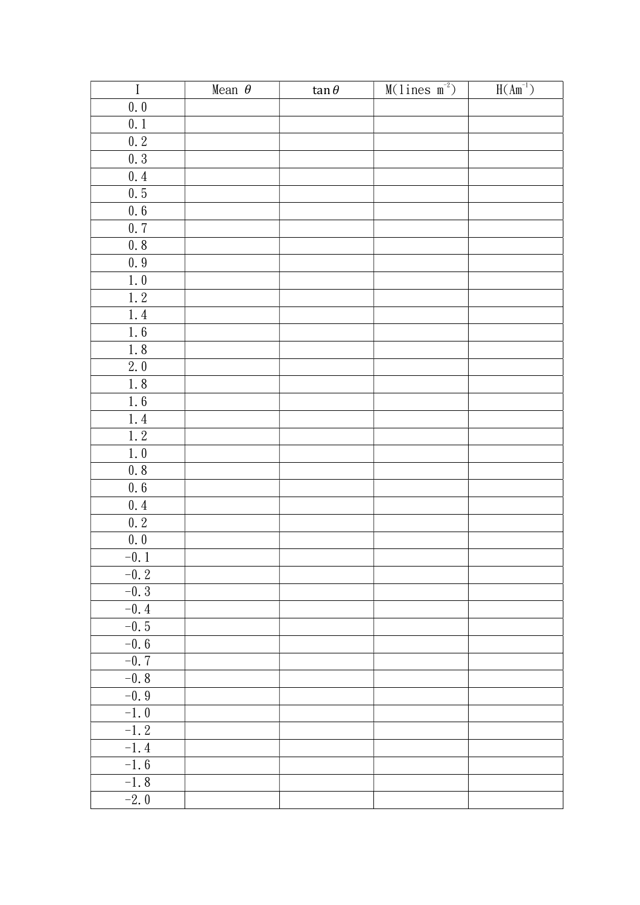| $\rm I$   | Mean $\theta$ | $\tan \theta$ | $M(1ines m-2)$ | $H(Am^{-1})$ |
|-----------|---------------|---------------|----------------|--------------|
| $0.0$     |               |               |                |              |
| $0.1\,$   |               |               |                |              |
| $0.\,2$   |               |               |                |              |
| 0.3       |               |               |                |              |
| 0.4       |               |               |                |              |
| $0.\,5$   |               |               |                |              |
| $0.6\,$   |               |               |                |              |
| 0.7       |               |               |                |              |
| 0.8       |               |               |                |              |
| $0.9\,$   |               |               |                |              |
| $1.0\,$   |               |               |                |              |
| $1.\,2$   |               |               |                |              |
| $1.4$     |               |               |                |              |
| 1.6       |               |               |                |              |
| $1.\,8$   |               |               |                |              |
| $2.0$     |               |               |                |              |
| 1.8       |               |               |                |              |
| $1.6\,$   |               |               |                |              |
| $1.4$     |               |               |                |              |
| $1.\,2$   |               |               |                |              |
| $1.\,\,0$ |               |               |                |              |
| $0.8\,$   |               |               |                |              |
| $0.\ 6$   |               |               |                |              |
| 0.4       |               |               |                |              |
| $0.2\,$   |               |               |                |              |
| $0.\,0$   |               |               |                |              |
| $-0.1$    |               |               |                |              |
| $-0.2$    |               |               |                |              |
| $-0.3$    |               |               |                |              |
| $-0.4$    |               |               |                |              |
| $-0.5$    |               |               |                |              |
| $-0.6$    |               |               |                |              |
| $-0.7$    |               |               |                |              |
| $-0.8$    |               |               |                |              |
| $-0.9$    |               |               |                |              |
| $-1.0$    |               |               |                |              |
| $-1.2$    |               |               |                |              |
| $-1.4$    |               |               |                |              |
| $-1.6$    |               |               |                |              |
| $-1.8$    |               |               |                |              |
| $-2.0$    |               |               |                |              |